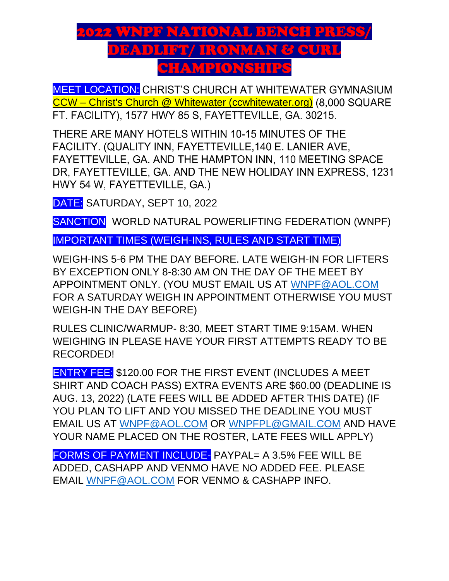## 2022 WNPF NATIONAL BENCH PRESS/ DEADLIFT/ IRONMAN & CURL SHAMPIONSHIP

**MEET LOCATION:** CHRIST'S CHURCH AT WHITEWATER GYMNASIUM CCW – [Christ's Church @ Whitewater \(ccwhitewater.org\)](https://ccwhitewater.org/) (8,000 SQUARE FT. FACILITY), 1577 HWY 85 S, FAYETTEVILLE, GA. 30215.

THERE ARE MANY HOTELS WITHIN 10-15 MINUTES OF THE FACILITY. (QUALITY INN, FAYETTEVILLE, 140 E. LANIER AVE, FAYETTEVILLE, GA. AND THE HAMPTON INN, 110 MEETING SPACE DR, FAYETTEVILLE, GA. AND THE NEW HOLIDAY INN EXPRESS, 1231 HWY 54 W, FAYETTEVILLE, GA.)

DATE: SATURDAY, SEPT 10, 2022

SANCTION WORLD NATURAL POWERLIFTING FEDERATION (WNPF)

IMPORTANT TIMES (WEIGH-INS, RULES AND START TIME)

WEIGH-INS 5-6 PM THE DAY BEFORE. LATE WEIGH-IN FOR LIFTERS BY EXCEPTION ONLY 8-8:30 AM ON THE DAY OF THE MEET BY APPOINTMENT ONLY. (YOU MUST EMAIL US AT [WNPF@AOL.COM](mailto:WNPF@AOL.COM) FOR A SATURDAY WEIGH IN APPOINTMENT OTHERWISE YOU MUST WEIGH-IN THE DAY BEFORE)

RULES CLINIC/WARMUP- 8:30, MEET START TIME 9:15AM. WHEN WEIGHING IN PLEASE HAVE YOUR FIRST ATTEMPTS READY TO BE RECORDED!

ENTRY FEE: \$120.00 FOR THE FIRST EVENT (INCLUDES A MEET SHIRT AND COACH PASS) EXTRA EVENTS ARE \$60.00 (DEADLINE IS AUG. 13, 2022) (LATE FEES WILL BE ADDED AFTER THIS DATE) (IF YOU PLAN TO LIFT AND YOU MISSED THE DEADLINE YOU MUST EMAIL US AT [WNPF@AOL.COM](mailto:WNPF@AOL.COM) OR [WNPFPL@GMAIL.COM](mailto:WNPFPL@GMAIL.COM) AND HAVE YOUR NAME PLACED ON THE ROSTER, LATE FEES WILL APPLY)

FORMS OF PAYMENT INCLUDE- PAYPAL= A 3.5% FEE WILL BE ADDED, CASHAPP AND VENMO HAVE NO ADDED FEE. PLEASE EMAIL [WNPF@AOL.COM](mailto:WNPF@AOL.COM) FOR VENMO & CASHAPP INFO.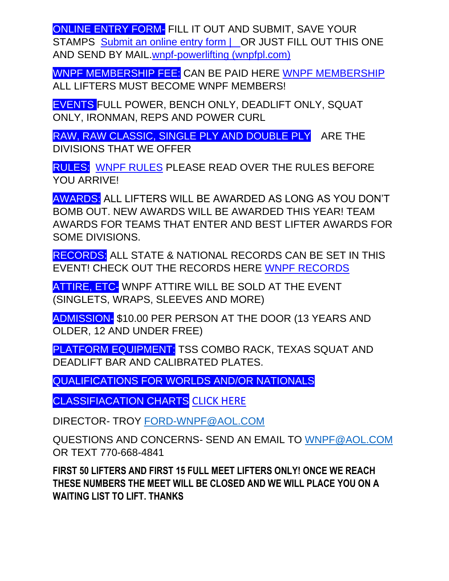ONLINE ENTRY FORM- FILL IT OUT AND SUBMIT, SAVE YOUR STAMPS Submit an online entry form | OR JUST FILL OUT THIS ONE [AND SEND BY MAIL.wnpf-powerlifting \(wnpfpl.com\)](https://www.wnpfpl.com/submit-an-online-entry-form)

WNPF MEMBERSHIP FEE: CAN BE PAID HERE [WNPF MEMBERSHIP](https://www.wnpfpl.com/online-membership-form) ALL LIFTERS MUST BECOME WNPF MEMBERS!

EVENTS FULL POWER, BENCH ONLY, DEADLIFT ONLY, SQUAT ONLY, IRONMAN, REPS AND POWER CURL

RAW, RAW CLASSIC, SINGLE PLY AND DOUBLE PLY ARE THE DIVISIONS THAT WE OFFER

RULES: [WNPF RULES](https://e1736ca4-7373-44b7-b522-77e81279f2d7.filesusr.com/ugd/6a501f_14f6127424fb4b759e8c48d9b84a761f.pdf) PLEASE READ OVER THE RULES BEFORE YOU ARRIVE!

AWARDS: ALL LIFTERS WILL BE AWARDED AS LONG AS YOU DON'T BOMB OUT. NEW AWARDS WILL BE AWARDED THIS YEAR! TEAM AWARDS FOR TEAMS THAT ENTER AND BEST LIFTER AWARDS FOR SOME DIVISIONS.

RECORDS: ALL STATE & NATIONAL RECORDS CAN BE SET IN THIS EVENT! CHECK OUT THE RECORDS HERE [WNPF RECORDS](https://www.wnpfpl.com/state-records) 

ATTIRE, ETC- WNPF ATTIRE WILL BE SOLD AT THE EVENT (SINGLETS, WRAPS, SLEEVES AND MORE)

ADMISSION- \$10.00 PER PERSON AT THE DOOR (13 YEARS AND OLDER, 12 AND UNDER FREE)

PLATFORM EQUIPMENT: TSS COMBO RACK, TEXAS SQUAT AND DEADLIFT BAR AND CALIBRATED PLATES.

QUALIFICATIONS FOR WORLDS AND/OR NATIONALS

CLASSIFIACATION CHARTS [CLICK HERE](https://e1736ca4-7373-44b7-b522-77e81279f2d7.filesusr.com/ugd/6a501f_425f6e01a15c439f9bdcad92ba6f900c.pdf)

DIRECTOR- TROY [FORD-WNPF@AOL.COM](mailto:FORD-WNPF@AOL.COM)

QUESTIONS AND CONCERNS- SEND AN EMAIL TO [WNPF@AOL.COM](mailto:WNPF@AOL.COM) OR TEXT 770-668-4841

**FIRST 50 LIFTERS AND FIRST 15 FULL MEET LIFTERS ONLY! ONCE WE REACH THESE NUMBERS THE MEET WILL BE CLOSED AND WE WILL PLACE YOU ON A WAITING LIST TO LIFT. THANKS**